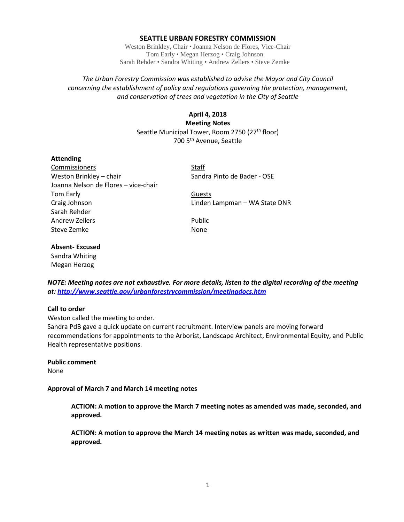### **SEATTLE URBAN FORESTRY COMMISSION**

Weston Brinkley, Chair • Joanna Nelson de Flores, Vice-Chair Tom Early • Megan Herzog • Craig Johnson Sarah Rehder • Sandra Whiting • Andrew Zellers • Steve Zemke

# *The Urban Forestry Commission was established to advise the Mayor and City Council concerning the establishment of policy and regulations governing the protection, management, and conservation of trees and vegetation in the City of Seattle*

# **April 4, 2018 Meeting Notes** Seattle Municipal Tower, Room 2750 (27<sup>th</sup> floor) 700 5th Avenue, Seattle

#### **Attending**

Commissioners Staff Weston Brinkley – chair Sandra Pinto de Bader - OSE Joanna Nelson de Flores – vice-chair Tom Early **Guests** Craig Johnson Linden Lampman – WA State DNR Sarah Rehder Andrew Zellers **Public** Steve Zemke None

### **Absent- Excused**

Sandra Whiting Megan Herzog

*NOTE: Meeting notes are not exhaustive. For more details, listen to the digital recording of the meeting at:<http://www.seattle.gov/urbanforestrycommission/meetingdocs.htm>*

# **Call to order**

Weston called the meeting to order.

Sandra PdB gave a quick update on current recruitment. Interview panels are moving forward recommendations for appointments to the Arborist, Landscape Architect, Environmental Equity, and Public Health representative positions.

# **Public comment**

None

#### **Approval of March 7 and March 14 meeting notes**

**ACTION: A motion to approve the March 7 meeting notes as amended was made, seconded, and approved.**

**ACTION: A motion to approve the March 14 meeting notes as written was made, seconded, and approved.**